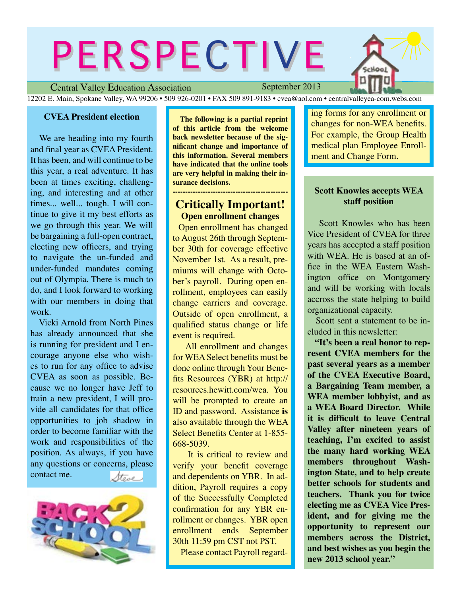# PERSPECTIVE

Hool

Central Valley Education Association

September 2013

12202 E. Main, Spokane Valley, WA 99206 • 509 926-0201 • FAX 509 891-9183 • cvea@aol.com • centralvalleyea-com.webs.com

### **CVEA President election**

We are heading into my fourth and final year as CVEA President. It has been, and will continue to be this year, a real adventure. It has been at times exciting, challenging, and interesting and at other times... well... tough. I will continue to give it my best efforts as we go through this year. We will be bargaining a full-open contract, electing new officers, and trying to navigate the un-funded and under-funded mandates coming out of Olympia. There is much to do, and I look forward to working with our members in doing that work.

Vicki Arnold from North Pines has already announced that she is running for president and I encourage anyone else who wishes to run for any office to advise CVEA as soon as possible. Because we no longer have Jeff to train a new president, I will provide all candidates for that office opportunities to job shadow in order to become familiar with the work and responsibilities of the position. As always, if you have any questions or concerns, please contact me. Stove .



 **The following is a partial reprint of this article from the welcome back newsletter because of the significant change and importance of this information. Several members have indicated that the online tools are very helpful in making their insurance decisions.**

# **Critically Important! Open enrollment changes**

**----------------------------------------------**

**Open enrollment has changed** to August 26th through September 30th for coverage effective November 1st. As a result, premiums will change with October's payroll. During open enrollment, employees can easily change carriers and coverage. Outside of open enrollment, a qualified status change or life event is required.

All enrollment and changes for WEA Select benefits must be done online through Your Benefits Resources (YBR) at http:// resources.hewitt.com/wea. You will be prompted to create an ID and password. Assistance is also available through the WEA Select Benefits Center at 1-855-668-5039.

It is critical to review and verify your benefit coverage and dependents on YBR. In addition, Payroll requires a copy of the Successfully Completed confirmation for any YBR enrollment or changes. YBR open enrollment ends September  $30th$  11:59 pm CST not PST.

Please contact Payroll regard-

ing forms for any enrollment or changes for non-WEA benefits. For example, the Group Health medical plan Employee Enrollment and Change Form.

### **Scott Knowles accepts WEA staff position**

**Scott Knowles who has been** Vice President of CVEA for three years has accepted a staff position with WEA. He is based at an office in the WEA Eastern Washington office on Montgomery and will be working with locals accross the state helping to build organizational capacity.

Scott sent a statement to be included in this newsletter:

 **"It's been a real honor to represent CVEA members for the past several years as a member of the CVEA Executive Board, a Bargaining Team member, a WEA member lobbyist, and as a WEA Board Director. While Let** is difficult to leave Central **Valley after nineteen years of teaching, I'm excited to assist the many hard working WEA members throughout Washington State, and to help create better schools for students and teachers. Thank you for twice electing me as CVEA Vice President, and for giving me the opportunity to represent our members across the District, and best wishes as you begin the new 2013 school year."**